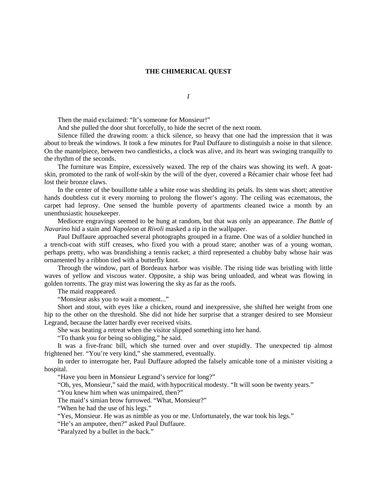## **THE CHIMERICAL QUEST**

*I*

Then the maid exclaimed: "It's someone for Monsieur!"

And she pulled the door shut forcefully, to hide the secret of the next room.

Silence filled the drawing room: a thick silence, so heavy that one had the impression that it was about to break the windows. It took a few minutes for Paul Duffaure to distinguish a noise in that silence. On the mantelpiece, between two candlesticks, a clock was alive, and its heart was swinging tranquilly to the rhythm of the seconds.

The furniture was Empire, excessively waxed. The rep of the chairs was showing its weft. A goatskin, promoted to the rank of wolf-skin by the will of the dyer, covered a Récamier chair whose feet had lost their bronze claws.

In the center of the bouillotte table a white rose was shedding its petals. Its stem was short; attentive hands doubtless cut it every morning to prolong the flower's agony. The ceiling was eczematous, the carpet had leprosy. One sensed the humble poverty of apartments cleaned twice a month by an unenthusiastic housekeeper.

Mediocre engravings seemed to be hung at random, but that was only an appearance. *The Battle of Navarino* hid a stain and *Napoleon at Rivoli* masked a rip in the wallpaper.

Paul Duffaure approached several photographs grouped in a frame. One was of a soldier hunched in a trench-coat with stiff creases, who fixed you with a proud stare; another was of a young woman, perhaps pretty, who was brandishing a tennis racket; a third represented a chubby baby whose hair was ornamented by a ribbon tied with a butterfly knot.

Through the window, part of Bordeaux harbor was visible. The rising tide was bristling with little waves of yellow and viscous water. Opposite, a ship was being unloaded, and wheat was flowing in golden torrents. The gray mist was lowering the sky as far as the roofs.

The maid reappeared.

"Monsieur asks you to wait a moment..."

Short and stout, with eyes like a chicken, round and inexpressive, she shifted her weight from one hip to the other on the threshold. She did not hide her surprise that a stranger desired to see Monsieur Legrand, because the latter hardly ever received visits.

She was beating a retreat when the visitor slipped something into her hand.

"To thank you for being so obliging," he said.

It was a five-franc bill, which she turned over and over stupidly. The unexpected tip almost frightened her. "You're very kind," she stammered, eventually.

In order to interrogate her, Paul Duffaure adopted the falsely amicable tone of a minister visiting a hospital.

"Have you been in Monsieur Legrand's service for long?"

"Oh, yes, Monsieur," said the maid, with hypocritical modesty. "It will soon be twenty years."

"You knew him when was unimpaired, then?"

The maid's simian brow furrowed. "What, Monsieur?"

"When he had the use of his legs."

"Yes, Monsieur. He was as nimble as you or me. Unfortunately, the war took his legs."

"He's an amputee, then?" asked Paul Duffaure.

"Paralyzed by a bullet in the back."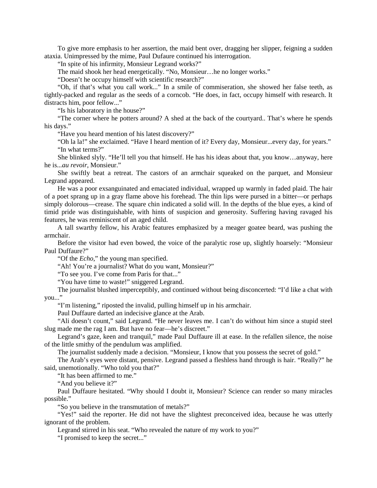To give more emphasis to her assertion, the maid bent over, dragging her slipper, feigning a sudden ataxia. Unimpressed by the mime, Paul Dufaure continued his interrogation.

"In spite of his infirmity, Monsieur Legrand works?"

The maid shook her head energetically. "No, Monsieur…he no longer works."

"Doesn't he occupy himself with scientific research?"

"Oh, if that's what you call work..." In a smile of commiseration, she showed her false teeth, as tightly-packed and regular as the seeds of a corncob. "He does, in fact, occupy himself with research. It distracts him, poor fellow..."

"Is his laboratory in the house?"

"The corner where he potters around? A shed at the back of the courtyard.. That's where he spends his days."

"Have you heard mention of his latest discovery?"

"Oh la la!" she exclaimed. "Have I heard mention of it? Every day, Monsieur...every day, for years." "In what terms?"

She blinked slyly. "He'll tell you that himself. He has his ideas about that, you know…anyway, here he is...*au revoir*, Monsieur."

She swiftly beat a retreat. The castors of an armchair squeaked on the parquet, and Monsieur Legrand appeared.

He was a poor exsanguinated and emaciated individual, wrapped up warmly in faded plaid. The hair of a poet sprang up in a gray flame above his forehead. The thin lips were pursed in a bitter—or perhaps simply dolorous—crease. The square chin indicated a solid will. In the depths of the blue eyes, a kind of timid pride was distinguishable, with hints of suspicion and generosity. Suffering having ravaged his features, he was reminiscent of an aged child.

A tall swarthy fellow, his Arabic features emphasized by a meager goatee beard, was pushing the armchair.

Before the visitor had even bowed, the voice of the paralytic rose up, slightly hoarsely: "Monsieur Paul Duffaure?"

"Of the *Echo*," the young man specified.

"Ah! You're a journalist? What do you want, Monsieur?"

"To see you. I've come from Paris for that..."

"You have time to waste!" sniggered Legrand.

The journalist blushed imperceptibly, and continued without being disconcerted: "I'd like a chat with you..."

"I'm listening," riposted the invalid, pulling himself up in his armchair.

Paul Duffaure darted an indecisive glance at the Arab.

"Ali doesn't count," said Legrand. "He never leaves me. I can't do without him since a stupid steel slug made me the rag I am. But have no fear—he's discreet."

Legrand's gaze, keen and tranquil," made Paul Duffaure ill at ease. In the refallen silence, the noise of the little smithy of the pendulum was amplified.

The journalist suddenly made a decision. "Monsieur, I know that you possess the secret of gold."

The Arab's eyes were distant, pensive. Legrand passed a fleshless hand through is hair. "Really?" he said, unemotionally. "Who told you that?"

"It has been affirmed to me."

"And you believe it?"

Paul Duffaure hesitated. "Why should I doubt it, Monsieur? Science can render so many miracles possible."

"So you believe in the transmutation of metals?"

"Yes!" said the reporter. He did not have the slightest preconceived idea, because he was utterly ignorant of the problem.

Legrand stirred in his seat. "Who revealed the nature of my work to you?"

"I promised to keep the secret..."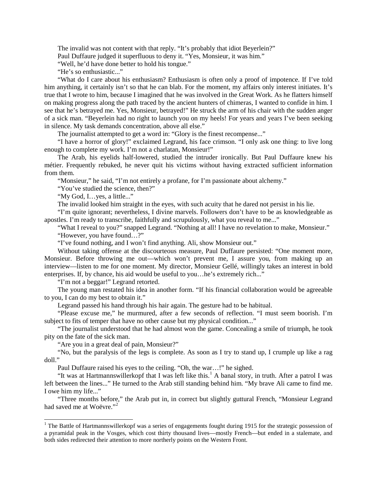The invalid was not content with that reply. "It's probably that idiot Beyerlein?"

Paul Duffaure judged it superfluous to deny it. "Yes, Monsieur, it was him."

"Well, he'd have done better to hold his tongue."

"He's so enthusiastic..."

"What do I care about his enthusiasm? Enthusiasm is often only a proof of impotence. If I've told him anything, it certainly isn't so that he can blab. For the moment, my affairs only interest initiates. It's true that I wrote to him, because I imagined that he was involved in the Great Work. As he flatters himself on making progress along the path traced by the ancient hunters of chimeras, I wanted to confide in him. I see that he's betrayed me. Yes, Monsieur, betrayed!" He struck the arm of his chair with the sudden anger of a sick man. "Beyerlein had no right to launch you on my heels! For years and years I've been seeking in silence. My task demands concentration, above all else."

The journalist attempted to get a word in: "Glory is the finest recompense..."

"I have a horror of glory!" exclaimed Legrand, his face crimson. "I only ask one thing: to live long enough to complete my work. I'm not a charlatan, Monsieur!"

The Arab, his eyelids half-lowered, studied the intruder ironically. But Paul Duffaure knew his métier. Frequently rebuked, he never quit his victims without having extracted sufficient information from them.

"Monsieur," he said, "I'm not entirely a profane, for I'm passionate about alchemy."

"You've studied the science, then?"

"My God, I…yes, a little..."

The invalid looked him straight in the eyes, with such acuity that he dared not persist in his lie.

"I'm quite ignorant; nevertheless, I divine marvels. Followers don't have to be as knowledgeable as apostles. I'm ready to transcribe, faithfully and scrupulously, what you reveal to me..."

"What I reveal to you?" snapped Legrand. "Nothing at all! I have no revelation to make, Monsieur." "However, you have found…?"

"I've found nothing, and I won't find anything. Ali, show Monsieur out."

Without taking offense at the discourteous measure, Paul Duffaure persisted: "One moment more, Monsieur. Before throwing me out—which won't prevent me, I assure you, from making up an interview—listen to me for one moment. My director, Monsieur Gellé, willingly takes an interest in bold enterprises. If, by chance, his aid would be useful to you…he's extremely rich..."

"I'm not a beggar!" Legrand retorted.

The young man restated his idea in another form. "If his financial collaboration would be agreeable to you, I can do my best to obtain it."

Legrand passed his hand through his hair again. The gesture had to be habitual.

"Please excuse me," he murmured, after a few seconds of reflection. "I must seem boorish. I'm subject to fits of temper that have no other cause but my physical condition..."

"The journalist understood that he had almost won the game. Concealing a smile of triumph, he took pity on the fate of the sick man.

"Are you in a great deal of pain, Monsieur?"

"No, but the paralysis of the legs is complete. As soon as I try to stand up, I crumple up like a rag doll."

Paul Duffaure raised his eyes to the ceiling. "Oh, the war…!" he sighed.

"It was at Hartmannswillerkopf that I was left like this.<sup>[1](#page-2-0)</sup> A banal story, in truth. After a patrol I was left between the lines..." He turned to the Arab still standing behind him. "My brave Ali came to find me. I owe him my life..."

<span id="page-2-1"></span>"Three months before," the Arab put in, in correct but slightly guttural French, "Monsieur Legrand had saved me at Woëvre."<sup>[2](#page-2-1)</sup>

<span id="page-2-0"></span><sup>&</sup>lt;sup>1</sup> The Battle of Hartmannswillerkopf was a series of engagements fought during 1915 for the strategic possession of a pyramidal peak in the Vosges, which cost thirty thousand lives—mostly French—but ended in a stalemate, and both sides redirected their attention to more northerly points on the Western Front.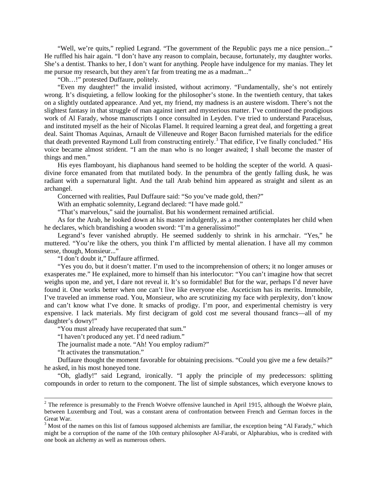"Well, we're quits," replied Legrand. "The government of the Republic pays me a nice pension..." He ruffled his hair again. "I don't have any reason to complain, because, fortunately, my daughter works. She's a dentist. Thanks to her, I don't want for anything. People have indulgence for my manias. They let me pursue my research, but they aren't far from treating me as a madman..."

"Oh…!" protested Duffaure, politely.

"Even my daughter!" the invalid insisted, without acrimony. "Fundamentally, she's not entirely wrong. It's disquieting, a fellow looking for the philosopher's stone. In the twentieth century, that takes on a slightly outdated appearance. And yet, my friend, my madness is an austere wisdom. There's not the slightest fantasy in that struggle of man against inert and mysterious matter. I've continued the prodigious work of Al Farady, whose manuscripts I once consulted in Leyden. I've tried to understand Paracelsus, and instituted myself as the heir of Nicolas Flamel. It required learning a great deal, and forgetting a great deal. Saint Thomas Aquinas, Arnault de Villeneuve and Roger Bacon furnished materials for the edifice that death prevented Raymond Lull from constructing entirely.<sup>[3](#page-3-0)</sup> That edifice, I've finally concluded." His voice became almost strident. "I am the man who is no longer awaited; I shall become the master of things and men."

His eyes flamboyant, his diaphanous hand seemed to be holding the scepter of the world. A quasidivine force emanated from that mutilated body. In the penumbra of the gently falling dusk, he was radiant with a supernatural light. And the tall Arab behind him appeared as straight and silent as an archangel.

Concerned with realities, Paul Duffaure said: "So you've made gold, then?"

With an emphatic solemnity, Legrand declared: "I have made gold."

"That's marvelous," said the journalist. But his wonderment remained artificial.

As for the Arab, he looked down at his master indulgently, as a mother contemplates her child when he declares, which brandishing a wooden sword: "I'm a generalissimo!"

Legrand's fever vanished abruptly. He seemed suddenly to shrink in his armchair. "Yes," he muttered. "You're like the others, you think I'm afflicted by mental alienation. I have all my common sense, though, Monsieur..."

"I don't doubt it," Duffaure affirmed.

"Yes you do, but it doesn't matter. I'm used to the incomprehension of others; it no longer amuses or exasperates me." He explained, more to himself than his interlocutor: "You can't imagine how that secret weighs upon me, and yet, I dare not reveal it. It's so formidable! But for the war, perhaps I'd never have found it. One works better when one can't live like everyone else. Asceticism has its merits. Immobile, I've traveled an immense road. You, Monsieur, who are scrutinizing my face with perplexity, don't know and can't know what I've done. It smacks of prodigy. I'm poor, and experimental chemistry is very expensive. I lack materials. My first decigram of gold cost me several thousand francs—all of my daughter's dowry!"

"You must already have recuperated that sum."

"I haven't produced any yet. I'd need radium."

The journalist made a note. "Ah! You employ radium?"

"It activates the transmutation."

Duffaure thought the moment favorable for obtaining precisions. "Could you give me a few details?" he asked, in his most honeyed tone.

"Oh, gladly!" said Legrand, ironically. "I apply the principle of my predecessors: splitting compounds in order to return to the component. The list of simple substances, which everyone knows to

 $2$  The reference is presumably to the French Woëvre offensive launched in April 1915, although the Woëvre plain, between Luxemburg and Toul, was a constant arena of confrontation between French and German forces in the Great War.

<span id="page-3-0"></span> $3$  Most of the names on this list of famous supposed alchemists are familiar, the exception being "Al Farady," which might be a corruption of the name of the 10th century philosopher Al-Farabi, or Alpharabius, who is credited with one book an alchemy as well as numerous others.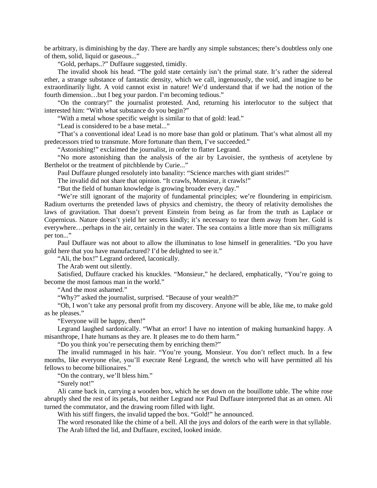be arbitrary, is diminishing by the day. There are hardly any simple substances; there's doubtless only one of them, solid, liquid or gaseous..."

"Gold, perhaps..?" Duffaure suggested, timidly.

The invalid shook his head. "The gold state certainly isn't the primal state. It's rather the sidereal ether, a strange substance of fantastic density, which we call, ingenuously, the void, and imagine to be extraordinarily light. A void cannot exist in nature! We'd understand that if we had the notion of the fourth dimension…but I beg your pardon. I'm becoming tedious."

"On the contrary!" the journalist protested. And, returning his interlocutor to the subject that interested him: "With what substance do you begin?"

"With a metal whose specific weight is similar to that of gold: lead."

"Lead is considered to be a base metal..."

"That's a conventional idea! Lead is no more base than gold or platinum. That's what almost all my predecessors tried to transmute. More fortunate than them, I've succeeded."

"Astonishing!" exclaimed the journalist, in order to flatter Legrand.

"No more astonishing than the analysis of the air by Lavoisier, the synthesis of acetylene by Berthelot or the treatment of pitchblende by Curie..."

Paul Duffaure plunged resolutely into banality: "Science marches with giant strides!"

The invalid did not share that opinion. "It crawls, Monsieur, it crawls!"

"But the field of human knowledge is growing broader every day."

"We're still ignorant of the majority of fundamental principles; we're floundering in empiricism. Radium overturns the pretended laws of physics and chemistry, the theory of relativity demolishes the laws of gravitation. That doesn't prevent Einstein from being as far from the truth as Laplace or Copernicus. Nature doesn't yield her secrets kindly; it's necessary to tear them away from her. Gold is everywhere…perhaps in the air, certainly in the water. The sea contains a little more than six milligrams per ton..."

Paul Duffaure was not about to allow the illuminatus to lose himself in generalities. "Do you have gold here that you have manufactured? I'd be delighted to see it."

"Ali, the box!" Legrand ordered, laconically.

The Arab went out silently.

Satisfied, Duffaure cracked his knuckles. "Monsieur," he declared, emphatically, "You're going to become the most famous man in the world."

"And the most ashamed."

"Why?" asked the journalist, surprised. "Because of your wealth?"

"Oh, I won't take any personal profit from my discovery. Anyone will be able, like me, to make gold as he pleases."

"Everyone will be happy, then!"

Legrand laughed sardonically. "What an error! I have no intention of making humankind happy. A misanthrope, I hate humans as they are. It pleases me to do them harm."

"Do you think you're persecuting them by enriching them?"

The invalid rummaged in his hair. "You're young, Monsieur. You don't reflect much. In a few months, like everyone else, you'll execrate René Legrand, the wretch who will have permitted all his fellows to become billionaires."

"On the contrary, we'll bless him."

"Surely not!"

Ali came back in, carrying a wooden box, which he set down on the bouillotte table. The white rose abruptly shed the rest of its petals, but neither Legrand nor Paul Duffaure interpreted that as an omen. Ali turned the commutator, and the drawing room filled with light.

With his stiff fingers, the invalid tapped the box. "Gold!" he announced.

The word resonated like the chime of a bell. All the joys and dolors of the earth were in that syllable. The Arab lifted the lid, and Duffaure, excited, looked inside.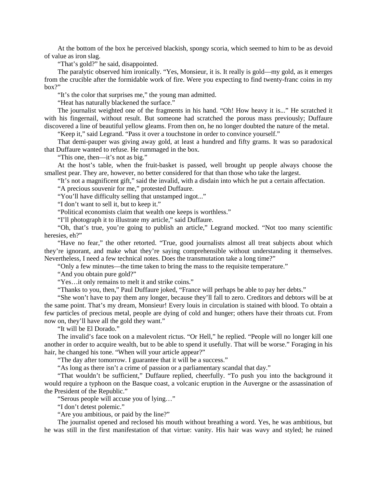At the bottom of the box he perceived blackish, spongy scoria, which seemed to him to be as devoid of value as iron slag.

"That's gold?" he said, disappointed.

The paralytic observed him ironically. "Yes, Monsieur, it is. It really is gold—my gold, as it emerges from the crucible after the formidable work of fire. Were you expecting to find twenty-franc coins in my box?"

"It's the color that surprises me," the young man admitted.

"Heat has naturally blackened the surface."

The journalist weighted one of the fragments in his hand. "Oh! How heavy it is..." He scratched it with his fingernail, without result. But someone had scratched the porous mass previously; Duffaure discovered a line of beautiful yellow gleams. From then on, he no longer doubted the nature of the metal.

"Keep it," said Legrand. "Pass it over a touchstone in order to convince yourself."

That demi-pauper was giving away gold, at least a hundred and fifty grams. It was so paradoxical that Duffaure wanted to refuse. He rummaged in the box.

"This one, then—it's not as big."

At the host's table, when the fruit-basket is passed, well brought up people always choose the smallest pear. They are, however, no better considered for that than those who take the largest.

"It's not a magnificent gift," said the invalid, with a disdain into which he put a certain affectation.

"A precious souvenir for me," protested Duffaure.

"You'll have difficulty selling that unstamped ingot..."

"I don't want to sell it, but to keep it."

"Political economists claim that wealth one keeps is worthless."

"I'll photograph it to illustrate my article," said Duffaure.

"Oh, that's true, you're going to publish an article," Legrand mocked. "Not too many scientific heresies, eh?"

"Have no fear," the other retorted. "True, good journalists almost all treat subjects about which they're ignorant, and make what they're saying comprehensible without understanding it themselves. Nevertheless, I need a few technical notes. Does the transmutation take a long time?"

"Only a few minutes—the time taken to bring the mass to the requisite temperature."

"And you obtain pure gold?"

"Yes…it only remains to melt it and strike coins."

"Thanks to you, then," Paul Duffaure joked, "France will perhaps be able to pay her debts."

"She won't have to pay them any longer, because they'll fall to zero. Creditors and debtors will be at the same point. That's my dream, Monsieur! Every louis in circulation is stained with blood. To obtain a few particles of precious metal, people are dying of cold and hunger; others have their throats cut. From now on, they'll have all the gold they want."

"It will be El Dorado."

The invalid's face took on a malevolent rictus. "Or Hell," he replied. "People will no longer kill one another in order to acquire wealth, but to be able to spend it usefully. That will be worse." Foraging in his hair, he changed his tone. "When will your article appear?"

"The day after tomorrow. I guarantee that it will be a success."

"As long as there isn't a crime of passion or a parliamentary scandal that day."

"That wouldn't be sufficient," Duffaure replied, cheerfully. "To push you into the background it would require a typhoon on the Basque coast, a volcanic eruption in the Auvergne or the assassination of the President of the Republic."

"Serous people will accuse you of lying…"

"I don't detest polemic."

"Are you ambitious, or paid by the line?"

The journalist opened and reclosed his mouth without breathing a word. Yes, he was ambitious, but he was still in the first manifestation of that virtue: vanity. His hair was wavy and styled; he ruined